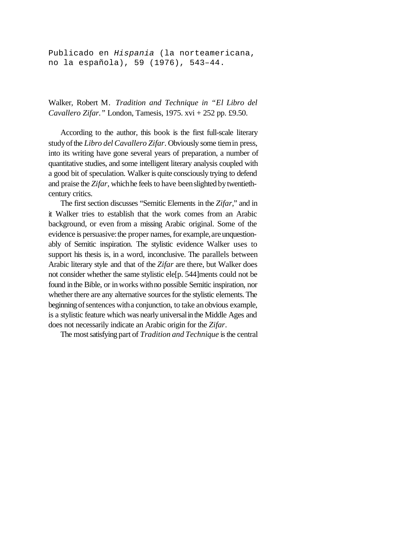Publicado en *Hispania* (la norteamericana, no la española), 59 (1976), 543–44.

Walker, Robert M. *Tradition and Technique in "El Libro del Cavallero Zifar."* London, Tamesis, 1975. xvi + 252 pp. £9.50.

According to the author, this book is the first full-scale literary studyofthe *Libro del Cavallero Zifar*. Obviously some tiemin press, into its writing have gone several years of preparation, a number of quantitative studies, and some intelligent literary analysis coupled with a good bit of speculation. Walker is quite consciously trying to defend and praise the *Zifar*, which he feels to have been slighted by twentiethcentury critics.

The first section discusses "Semitic Elements in the *Zifar*," and in it Walker tries to establish that the work comes from an Arabic background, or even from a missing Arabic original. Some of the evidence is persuasive: the proper names, for example, are unquestionably of Semitic inspiration. The stylistic evidence Walker uses to support his thesis is, in a word, inconclusive. The parallels between Arabic literary style and that of the *Zifar* are there, but Walker does not consider whether the same stylistic ele[p. 544]ments could not be found inthe Bible, or in works withno possible Semitic inspiration, nor whether there are any alternative sources for the stylistic elements. The beginning of sentences with a conjunction, to take an obvious example, is a stylistic feature which was nearly universal in the Middle Ages and does not necessarily indicate an Arabic origin for the *Zifar*.

The most satisfying part of *Tradition and Technique* is the central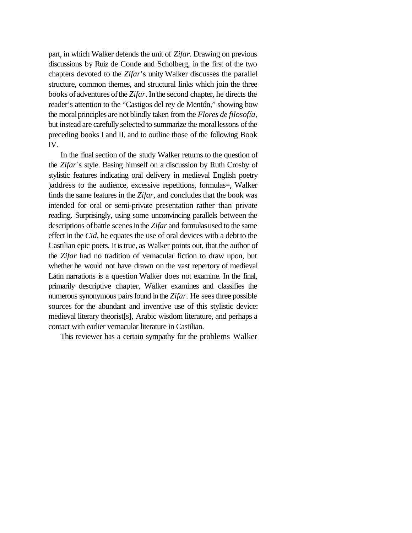part, in which Walker defends the unit of *Zifar*. Drawing on previous discussions by Ruiz de Conde and Scholberg, in the first of the two chapters devoted to the *Zifar*'s unity Walker discusses the parallel structure, common themes, and structural links which join the three books of adventures of the *Zifar*. In the second chapter, he directs the reader's attention to the "Castigos del rey de Mentón," showing how the moralprinciples are not blindly taken from the *Flores de filosofía*, but instead are carefully selected to summarize the moral lessons of the preceding books I and II, and to outline those of the following Book IV.

In the final section of the study Walker returns to the question of the *Zifar*'s style. Basing himself on a discussion by Ruth Crosby of stylistic features indicating oral delivery in medieval English poetry )address to the audience, excessive repetitions, formulas=, Walker finds the same features in the *Zifar*, and concludes that the book was intended for oral or semi-private presentation rather than private reading. Surprisingly, using some unconvincing parallels between the descriptions of battle scenes in the *Zifar* and formulasused to the same effect in the *Cid*, he equates the use of oral devices with a debt to the Castilian epic poets. It istrue, as Walker points out, that the author of the *Zifar* had no tradition of vernacular fiction to draw upon, but whether he would not have drawn on the vast repertory of medieval Latin narrations is a question Walker does not examine. In the final, primarily descriptive chapter, Walker examines and classifies the numerous synonymous pairs found in the *Zifar*. He sees three possible sources for the abundant and inventive use of this stylistic device: medieval literary theorist[s], Arabic wisdom literature, and perhaps a contact with earlier vernacular literature in Castilian.

This reviewer has a certain sympathy for the problems Walker